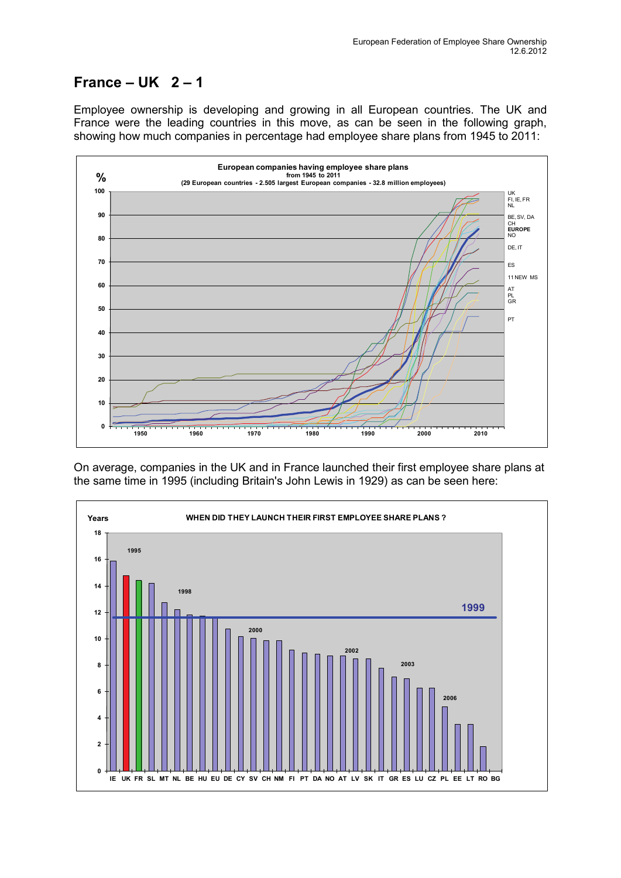## **France – UK 2 – 1**

Employee ownership is developing and growing in all European countries. The UK and France were the leading countries in this move, as can be seen in the following graph, showing how much companies in percentage had employee share plans from 1945 to 2011:



On average, companies in the UK and in France launched their first employee share plans at the same time in 1995 (including Britain's John Lewis in 1929) as can be seen here:

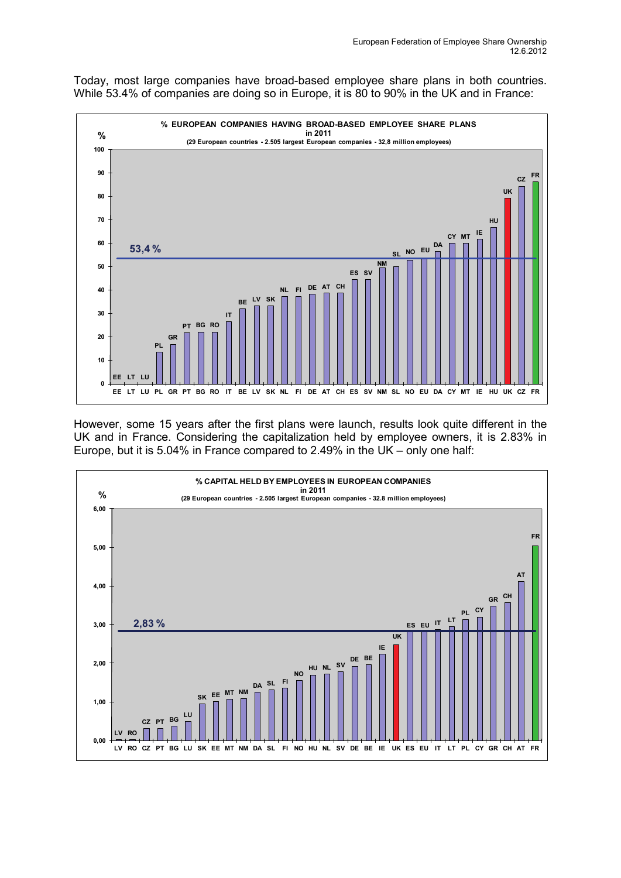Today, most large companies have broad-based employee share plans in both countries. While 53.4% of companies are doing so in Europe, it is 80 to 90% in the UK and in France:



However, some 15 years after the first plans were launch, results look quite different in the UK and in France. Considering the capitalization held by employee owners, it is 2.83% in Europe, but it is 5.04% in France compared to 2.49% in the UK – only one half: